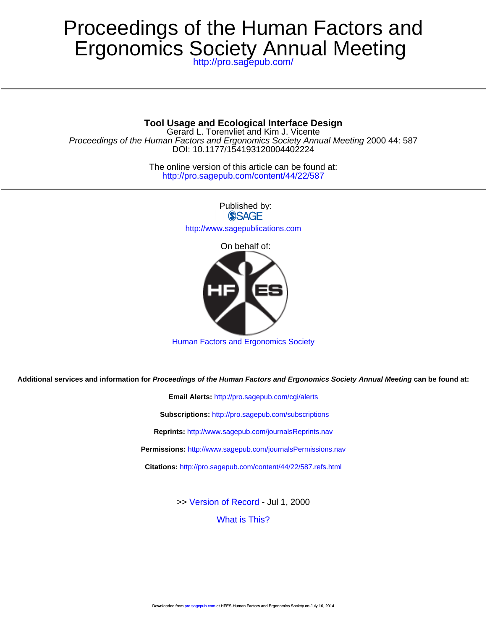# Ergonomics Society Annual Meeting Proceedings of the Human Factors and

<http://pro.sagepub.com/>

# **Tool Usage and Ecological Interface Design**

DOI: 10.1177/154193120004402224 Proceedings of the Human Factors and Ergonomics Society Annual Meeting 2000 44: 587 Gerard L. Torenvliet and Kim J. Vicente

> <http://pro.sagepub.com/content/44/22/587> The online version of this article can be found at:

> > Published by: **SSAGE** <http://www.sagepublications.com> On behalf of:



[Human Factors and Ergonomics Society](http://www.hfes.org)

**Additional services and information for Proceedings of the Human Factors and Ergonomics Society Annual Meeting can be found at:**

**Email Alerts:** <http://pro.sagepub.com/cgi/alerts> **Subscriptions:** <http://pro.sagepub.com/subscriptions> **Reprints:** <http://www.sagepub.com/journalsReprints.nav> **Permissions:** <http://www.sagepub.com/journalsPermissions.nav> **Citations:** <http://pro.sagepub.com/content/44/22/587.refs.html>

>> [Version of Record -](http://pro.sagepub.com/content/44/22/587.full.pdf) Jul 1, 2000

[What is This?](http://online.sagepub.com/site/sphelp/vorhelp.xhtml)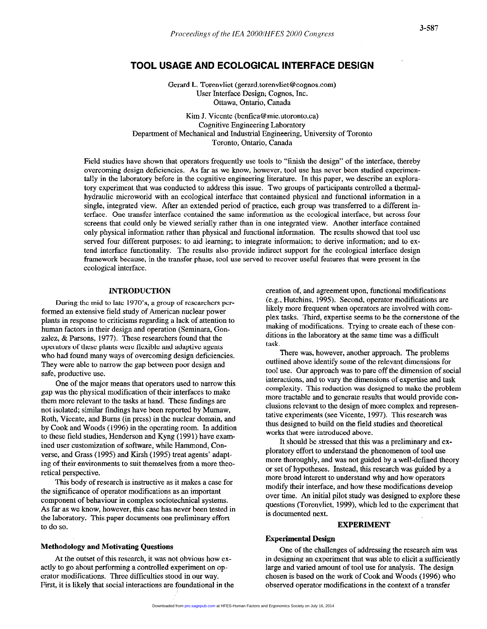# TOOL USAGE AND ECOLOGICAL INTERFACE DESIGN

Gerard L. Torenvliet (gerard.torenvliet@cognos.com) User Interface Design; Cognos, Inc. Ottawa, Ontario, Canada

Kim J. Vicente (benfica@mie.utoronto.ca) Cognitive Engineering Laboratory Department of Mechanical and Industrial Engineering, University of Toronto Toronto, Ontario, Canada

Field studies have shown that operators frequently use tools to "finish the design" of the interface, thereby overcoming design deficiencies. As far aS we know, however, tool use has never been studied experimentally in the laboratory before in the cognitive engineering literature. In this paper, we describe an exploratory experiment that was conducted to address this issue. Two groups of participants controlled a thermalhydraulic microworld with an ecological interface that contained physical and functional information in a single, integrated view. After an extended period of practice, each group was transferred to a different interface. One transfer interface contained the same information as the ecological interface, but across four screens that could only be viewed serially rather than in one integrated view. Another interface contained only physical information rather than physical and functional information. The results showed that tool use served four different purposes: to aid learning; to integrate information; to derive information; and to extend interface functionality. The results also provide indirect support for the ecological interface design framework because, in the transfer phase, tool use served to recover useful features that were present in the ecological interface.

# INTRODUCTION

During the mid to late 1970's, a group of researchers performed an extensive field study of American nuclear power plants in response to criticisms regarding a lack of attention to human factors in their design and operation (Seminara, Gonzalez, & Parsons, 1977). These researchers found that the operators of these plants were flexible and adaptive agents who had found many ways of overcoming design deficiencies. They were able to narrow the gap between poor design and safe, productive use.

One of the major means that operators used to narrow this gap was the physical modification of their interfaces to make them more relevant to the tasks at hand. These findings are not isolated; similar findings have been reported by Mumaw, Roth, Vicente, and Burns (in press) in the nuclear domain, and by Cook and Woods (1996) in the operating room. In addition to these field studies, Henderson and Kyng (1991) have examined user customization of software, while Hammond, Converse, and Grass (1995) and Kirsh (1995) treat agents' adapting of their environments to suit themselves from a more theoretical perspective.

This body of research is instructive as it makes a case for the significance of operator modifications as an important component of behaviour in complex sociotechnical systems. As far as we know, however, this case has never been tested in the laboratory. This paper documents one preliminary effort to do so.

#### Methodology and Motivating Questions

At the outset of this research, it was not obvious how exactly to go about performing a controlled experiment on operator modifications. Three difficulties stood in our way. First, it is likely that social interactions are foundational in the creation of, and agreement upon, functional modifications (e.g., Hutchins, 1995). Second, operator modifications are likely more frequent when operators are involved with complex tasks. Third, expertise seems to be the cornerstone of the making of modifications. Trying to create each of these conditions in the laboratory at the same time was a difficult task.

There was, however, another approach. The problems outlined above identify some of the relevant dimensions for tool use. Our approach was to pare off the dimension of social interactions, and to vary the dimensions of expertise and task complexity. This reduction was designed to make the problem more tractable and to generate results that would provide conclusions relevant to the design of more complex and representative experiments (see Vicente, 1997). This research was thus designed to build on the field studies and theoretical works that were introduced above.

It should be stressed that this was a preliminary and exploratory effort to understand the phenomenon of tool use more thoroughly, and was not guided by a well-defined theory or set of hypotheses. Instead, this research was guided by a more broad interest to understand why and how operators modify their interface, and how these modifications develop over time. An initial pilot study was designed to explore these questions (Torenvliet, 1999). which led to the experiment that is documented next.

#### EXPERIMENT

# Experimental Design

One of the challenges of addressing the research aim was in designing an experiment that was able to elicit a sufficiently large and varied amount of tool use for analysis. The design chosen is based on the work of Cook and Woods (1996) who observed operator modifications in the context of a transfer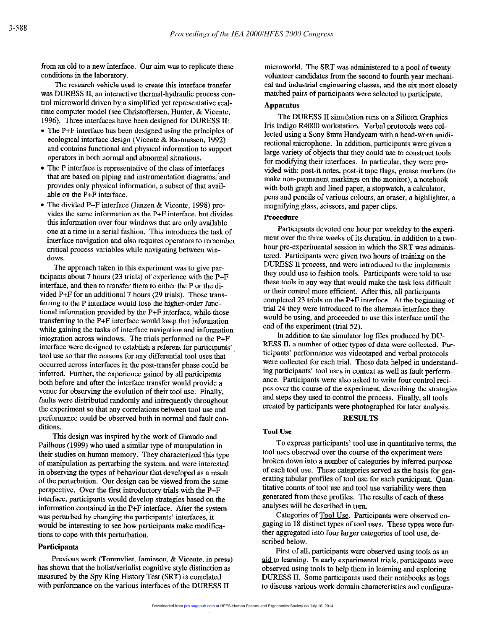from an old to a new interface. Our aim was to replicate these conditions in the laboratory.

The research vehicle used to create this interface transfer was DURESS II, an interactive thermal-hydraulic process control microworld driven by a simplified yet representative realtime computer model (see Christoffersen, Hunter, & Vicente, 1996). Three interfaces have been designed for DURESS II:

- $\bullet$  The P+F interface has been designed using the principles of ecological interface design (Vicente & Rasmussen, 1992) and contains functional and physical information to support operators in both normal and abnormal situations.
- $\bullet$  The P interface is representative of the class of interfaces that are based on piping and instrumentation diagrams, and provides only physical information, a subset of that available on the P+F interface.
- The divided P+F interface (Janzen & Vicente, 1998) provides the same information as the P+F interface, but divides this information over four windows that are only available one at a time in a serial fashion. This introduces the task of interface navigation and also requires operators to remember critical process variables while navigating between windows.

The approach taken in this experiment was to give participants about 7 hours (23 trials) of experience with the P+F interface, and then to transfer them to either the P or the divided P+F for an additional 7 hours (29 trials). Those transferring to the P interface would lose the higher-order functional information provided by the P+F interface, while those transferring to the P+F interface would keep that information while gaining the tasks of interface navigation and information integration across windows. The trials performed on the P+F interface were designed to establish a referent for participants', tool use so that the reasons for any differential tool uses that occurred across interfaces in the post-transfer phase could be inferred. Further, the experience gained by all participants both before and after the interface transfer would provide a venue for observing the evolution of their tool use. Finally, faults were distributed randomly and infrequently throughout the experiment so that any correlations between tool use and performance could be observed both in normal and fault conditions.

This design was inspired by the work of Giraudo and Pailhous (1999) who used a similar type of manipulation in their studies on human memory. They characterized this type of manipulation as perturbing the system, and were interested in observing the types of behaviour that developed as a result of the perturbation. Our design can he viewed from the same perspective. Over the first introductory trials with the P+F interface, participants would develop strategies based on the information contained in the P+F interface. After the system was perturbed by changing the participants' interfaces, it would be interesting to see how participants make modifications to cope with this perturbation.

## Participants

Previous work (Torenvliet, Jamieson, & Vicente, in press) has shown that the holist/serialist cognitive style distinction as measured by the Spy Ring History Test (SRT) is correlated with performance on the various interfaces of the DURESS II

microworld. The SRT was administered to a pool of twenty volunteer candidates from the second to fourth year mechanical and industrial engineering classes, and the six most closely matched pairs of participants were selected to participate.

# Apparatus

The DURESS II simulation runs on a Silicon Graphics Iris Indigo R4000 workstation. Verbal protocols were collected using a Sony 8mm Handycam with a head-worn unidirectional microphone. In addition, participants were given a large variety of objects that they could use to construct tools for modifying their interfaces. In particular, they were provided with: post-it notes, post-it tape flags, grease markers (to make non-permanent markings on the monitor), a notebook with both graph and lined paper, a stopwatch, a calculator, pens and pencils of various colours, an eraser, a highlighter, a magnifying glass, scissors, and paper clips.

## Procedure

Participants devoted one hour per weekday to the experiment over the three weeks of its duration, in addition to a twohour pre-experimental session in which the SRT was administered. Participants were given two hours of training on the DURESS II process, and were introduced to the implements they could use to fashion tools. Participants were told to use these tools in any way that would make the task less difficult or their control more efficient. After this, all participants completed 23 trials on the P+F interface. At the beginning of trial 24 they were introduced to the alternate interface they would be using, and proceeded to use this interface until the end of the experiment (trial 52).

In addition to the simulator log tiles produced by DU-RESS II, a number of other types of data were collected. Participants' performance was videotaped and verbal protocols were collected for each trial. These data helped in understanding participants' tool uses in context as well as fault performance. Participants were also asked to write four control recipes over the course of the experiment, describing the strategies and steps they used to control the process. Finally, all tools created by participants were photographed for later analysis.

#### **RESULTS**

#### Tool Use

To express participants' tool use in quantitative terms, the tool uses observed over the course of the experiment were. broken down into a number of categories by inferred purpose of each tool use. These categories served as the basis for generating tabular profiles of tool use for each participant. Quantitative counts of tool use and tool use variability were then generated from these profiles. The results of each of these analyses will be described in turn.

Categories of Tool Use. Participants were observed engaging in 18 distinct types of tool uses. These types were further aggregated into four larger categories of tool use, described below.

First of all, participants were observed using tools as an aid to learning. In early experimental trials, participants were observed using tools to help them in learning aid exploring DURESS II. Some participants used their notebooks as logs to discuss various work domain characteristics and contigura-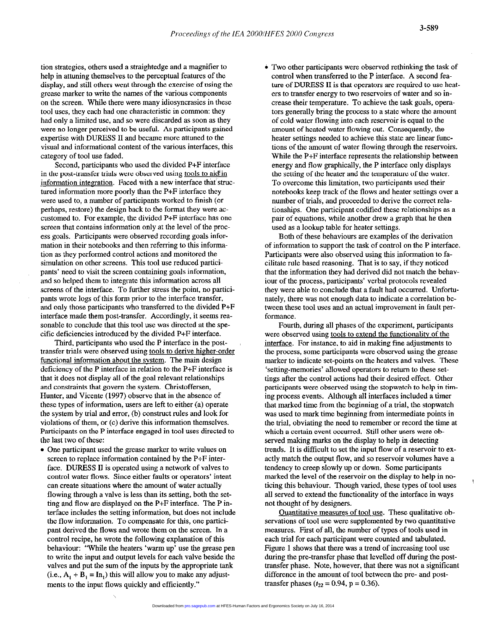tion strategies, others used a straightedge and a magnifier to help in attuning themselves to the perceptual features of the display, and still others went through the exercise of using the grease marker to write the names of the various components on the screen. While there were many idiosyncrasies in these tool uses, they each had one characteristic in common: they had only a limited use, and so were discarded as soon as they were no longer perceived to be useful. As participants gained expertise with DURESS II and became more attuned to the visual and informational content of the various interfaces, this category of tool use faded.

Second, participants who used the divided P+F interface in the post-transfer trials were observed using tools to aid in information integration. Faced with a new interface that structured information more poorly than the P+F interface they were used to, a number of participants worked to finish (or perhaps, restore) the design back to the format they were accustomed to. For example, the divided P+F interface has one. screen that contains information only at the level of the process goals. Participants were observed recording goals information in their notebooks and then referring to this information as they performed control actions and monitored the simulation on other screens. This tool use reduced participants' need to visit the screen containing goals information, and so helped them to integrate this information across all screens of the interface. To further stress the point, no participants wrote logs of this form prior to the interface transfer, and only those participants who transferred to the divided P+F interface made them post-transfer. Accordingly, it seems reasonable to conclude that this tool use was directed at the specific deficiencies introduced by the divided P+F interface.

Third, participants who used the P interface in the posttransfer trials were observed using tools to derive higher-order functional information about the svstem. The main design deficiency of the P interface in relation to the P+F interface is that it does not display all of the goal relevant relationships and constraints that govern the system. Christoffersen, Hunter, and Vicente (1997) observe that in the absence of these types of information, users are left to either (a) operate the system by trial and error, (b) construct rules and look for violations of them, or (c) derive this information themselves. Participants on the P interface engaged in tool uses directed to the last two of these:

• One participant used the grease marker to write values on screen to replace information contained by the P+F interface. DURESS II is operated using a network of valves to control water flows. Since either faults or operators' intent can create situations where the amount of water actually flowing through a valve is less than its setting, both the setting and flow are displayed on the P+F interface. The P interface includes the setting information, but does not include the flow information. To compensate for this, one participant derived the flows and wrote them on the screen. In a control recipe, he wrote the following explanation of this behaviour: "While the heaters 'warm up' use the grease pen to write the input and output levels for each valve beside the valves and put the sum of the inputs by the appropriate tank (i.e.,  $A_1 + B_1 = In_1$ ) this will allow you to make any adjustments to the input flows quickly and efficiently."

• Two other participants were observed rethinking the task of control when transferred to the P interface. A second feature of DURESS II is that operators are required to use heaters to transfer energy to two reservoirs of water and so increase their temperature. To achieve the task goals, operators generally bring the process to a state where the amount of cold water flowing into each reservoir is equal to the amount of heated water flowing out. Consequently, the heater settings needed to achieve this state are linear functions of the amount of water flowing through the reservoirs. While the P+F interface represents the relationship between energy and flow graphically, the P interface only displays the setting of the heater and the temperature of the water. To overcome this limitation, two participants used their notebooks keep track of the flows and heater settings over a number of trials, and proceeded to derive the correct relationships. One participant codified these relationships as a pair of equations, while another drew a graph that he then used as a lookup table for heater settings.

Both of these behaviours are examples of the derivation of information to support the task of control on the P interface. Participants were also observed using this information to facilitate rule based reasoning. That is to say, if they noticed that the information they had derived did not match the behaviour of the process, participants' verbal protocols revealed they were able to conclude that a fault had occurred. Unfortunately, there was not enough data to indicate a correlation between these tool uses and an actual improvement in fault performance.

Fourth, during all phases of the experiment, participants were observed using tools to extend the functionalitv of the interface. For instance, to aid in making fine adjustments to the process, some participants were observed using the grease marker to indicate set-points on the heaters and valves. These 'setting-memories' allowed operators to return to these settings after the control actions had their desired effect. Other participants were. observed using the stopwatch to help in timing process events. Although all interfaces included a timer that marked time from the beginning of a trial, the stopwatch was used to mark time beginning from intermediate points in the trial, obviating the need to remember or record the time at which a certain event occurred. Still other users were observed making marks on the display to help in detecting trends. It is difficult to set the input flow of a reservoir to exactly match the output flow, and so reservoir volumes have a tendency to creep slowly up or down. Some participants marked the level of the reservoir on the display to help in noticing this behaviour. Though varied, these types of tool uses all served to extend the functionality of the interface in ways not thought of by designers.

Quantitative measures of tool use. These qualitative observations of tool use were supplemented by two quantitative measures. First of all, the number of types of tools used in each trial for each participant were counted and tabulated. Figure 1 shows that there was a trend of increasing tool use during the pre-transfer phase that levelled off during the posttransfer phase. Note, however, that there was not a significant difference in the amount of tool between the pre- and posttransfer phases ( $t_{22} = 0.94$ , p = 0.36).

 $\overline{\phantom{a}}$